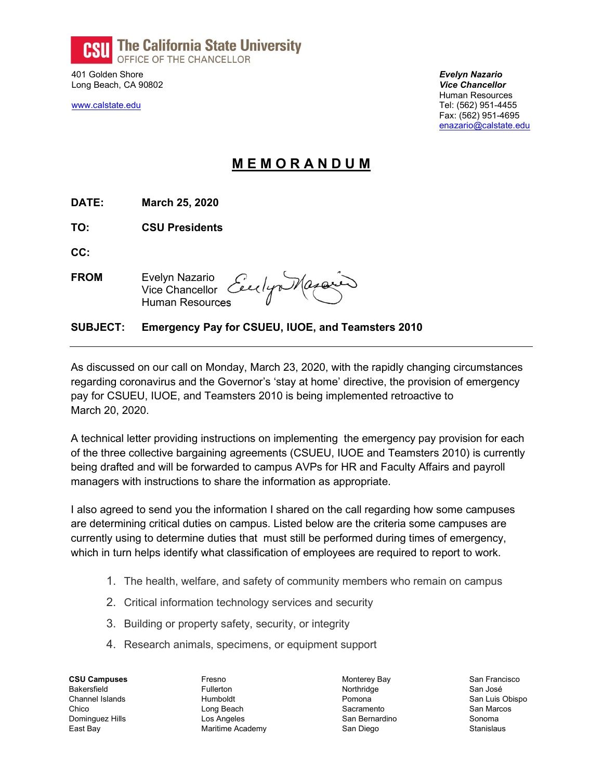

401 Golden Shore **Evelyn Nazario Evelyn Nazario** Long Beach, CA 90802 Vice Chancellor

 Human Resources www.calstate.edu Tel: (562) 951-4455 Fax: (562) 951-4695 enazario@calstate.edu

## M E M O R A N D U M

DATE: March 25, 2020

TO: CSU Presidents

CC:

**FROM** Evelyn Nazario **Vice Chancellor** Human Resources

## SUBJECT: Emergency Pay for CSUEU, IUOE, and Teamsters 2010

As discussed on our call on Monday, March 23, 2020, with the rapidly changing circumstances regarding coronavirus and the Governor's 'stay at home' directive, the provision of emergency pay for CSUEU, IUOE, and Teamsters 2010 is being implemented retroactive to March 20, 2020.

A technical letter providing instructions on implementing the emergency pay provision for each of the three collective bargaining agreements (CSUEU, IUOE and Teamsters 2010) is currently being drafted and will be forwarded to campus AVPs for HR and Faculty Affairs and payroll managers with instructions to share the information as appropriate.

I also agreed to send you the information I shared on the call regarding how some campuses are determining critical duties on campus. Listed below are the criteria some campuses are currently using to determine duties that must still be performed during times of emergency, which in turn helps identify what classification of employees are required to report to work.

- 1. The health, welfare, and safety of community members who remain on campus
- 2. Critical information technology services and security
- 3. Building or property safety, security, or integrity
- 4. Research animals, specimens, or equipment support

CSU Campuses Bakersfield Channel Islands Chico Dominguez Hills East Bay

Fresno Fullerton Humboldt Long Beach Los Angeles Maritime Academy Monterey Bay **Northridge** Pomona Sacramento San Bernardino San Diego

San Francisco San José San Luis Obispo San Marcos Sonoma **Stanislaus**